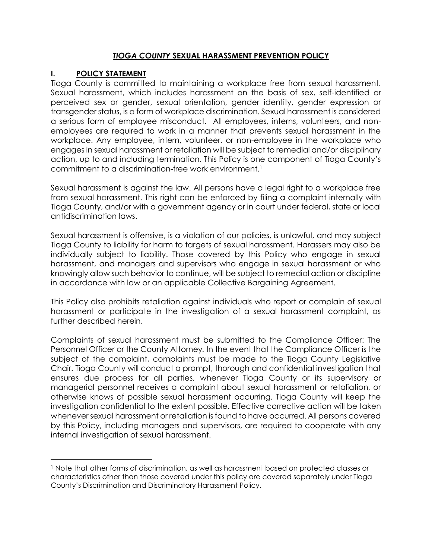## *TIOGA COUNTY* **SEXUAL HARASSMENT PREVENTION POLICY**

# **I. POLICY STATEMENT**

 $\overline{\phantom{a}}$ 

Tioga County is committed to maintaining a workplace free from sexual harassment. Sexual harassment, which includes harassment on the basis of sex, self-identified or perceived sex or gender, sexual orientation, gender identity, gender expression or transgender status, is a form of workplace discrimination. Sexual harassment is considered a serious form of employee misconduct. All employees, interns, volunteers, and nonemployees are required to work in a manner that prevents sexual harassment in the workplace. Any employee, intern, volunteer, or non-employee in the workplace who engages in sexual harassment or retaliation will be subject to remedial and/or disciplinary action, up to and including termination. This Policy is one component of Tioga County's commitment to a discrimination-free work environment.<sup>1</sup>

Sexual harassment is against the law. All persons have a legal right to a workplace free from sexual harassment. This right can be enforced by filing a complaint internally with Tioga County, and/or with a government agency or in court under federal, state or local antidiscrimination laws.

Sexual harassment is offensive, is a violation of our policies, is unlawful, and may subject Tioga County to liability for harm to targets of sexual harassment. Harassers may also be individually subject to liability. Those covered by this Policy who engage in sexual harassment, and managers and supervisors who engage in sexual harassment or who knowingly allow such behavior to continue, will be subject to remedial action or discipline in accordance with law or an applicable Collective Bargaining Agreement.

This Policy also prohibits retaliation against individuals who report or complain of sexual harassment or participate in the investigation of a sexual harassment complaint, as further described herein.

Complaints of sexual harassment must be submitted to the Compliance Officer: The Personnel Officer or the County Attorney*.* In the event that the Compliance Officer is the subject of the complaint, complaints must be made to the Tioga County Legislative Chair. Tioga County will conduct a prompt, thorough and confidential investigation that ensures due process for all parties, whenever Tioga County or its supervisory or managerial personnel receives a complaint about sexual harassment or retaliation, or otherwise knows of possible sexual harassment occurring. Tioga County will keep the investigation confidential to the extent possible. Effective corrective action will be taken whenever sexual harassment or retaliation is found to have occurred. All persons covered by this Policy, including managers and supervisors, are required to cooperate with any internal investigation of sexual harassment.

<sup>1</sup> Note that other forms of discrimination, as well as harassment based on protected classes or characteristics other than those covered under this policy are covered separately under Tioga County's Discrimination and Discriminatory Harassment Policy.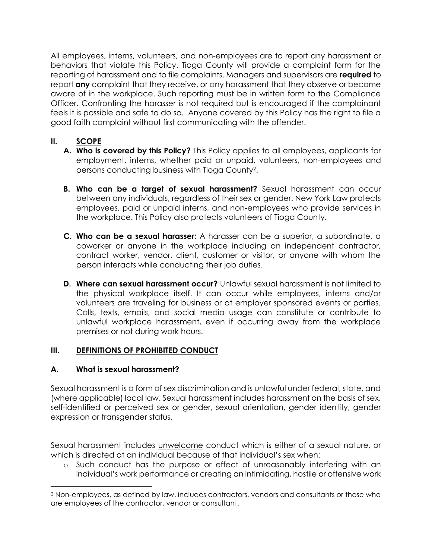All employees, interns, volunteers, and non-employees are to report any harassment or behaviors that violate this Policy. Tioga County will provide a complaint form for the reporting of harassment and to file complaints. Managers and supervisors are **required** to report **any** complaint that they receive, or any harassment that they observe or become aware of in the workplace. Such reporting must be in written form to the Compliance Officer. Confronting the harasser is not required but is encouraged if the complainant feels it is possible and safe to do so. Anyone covered by this Policy has the right to file a good faith complaint without first communicating with the offender.

# **II. SCOPE**

- **A. Who is covered by this Policy?** This Policy applies to all employees, applicants for employment, interns, whether paid or unpaid, volunteers, non-employees and persons conducting business with Tioga County<sup>2</sup> .
- **B. Who can be a target of sexual harassment?** Sexual harassment can occur between any individuals, regardless of their sex or gender. New York Law protects employees, paid or unpaid interns, and non-employees who provide services in the workplace. This Policy also protects volunteers of Tioga County.
- **C. Who can be a sexual harasser:** A harasser can be a superior, a subordinate, a coworker or anyone in the workplace including an independent contractor, contract worker, vendor, client, customer or visitor, or anyone with whom the person interacts while conducting their job duties.
- **D. Where can sexual harassment occur?** Unlawful sexual harassment is not limited to the physical workplace itself. It can occur while employees, interns and/or volunteers are traveling for business or at employer sponsored events or parties. Calls, texts, emails, and social media usage can constitute or contribute to unlawful workplace harassment, even if occurring away from the workplace premises or not during work hours.

## **III. DEFINITIONS OF PROHIBITED CONDUCT**

## **A. What is sexual harassment?**

l

Sexual harassment is a form of sex discrimination and is unlawful under federal, state, and (where applicable) local law. Sexual harassment includes harassment on the basis of sex, self-identified or perceived sex or gender, sexual orientation, gender identity, gender expression or transgender status.

Sexual harassment includes unwelcome conduct which is either of a sexual nature, or which is directed at an individual because of that individual's sex when:

o Such conduct has the purpose or effect of unreasonably interfering with an individual's work performance or creating an intimidating, hostile or offensive work

<sup>2</sup> Non-employees, as defined by law, includes contractors, vendors and consultants or those who are employees of the contractor, vendor or consultant.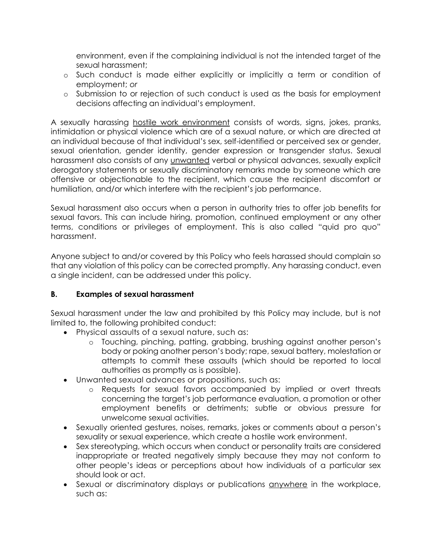environment, even if the complaining individual is not the intended target of the sexual harassment;

- o Such conduct is made either explicitly or implicitly a term or condition of employment; *or*
- o Submission to or rejection of such conduct is used as the basis for employment decisions affecting an individual's employment.

A sexually harassing hostile work environment consists of words, signs, jokes, pranks, intimidation or physical violence which are of a sexual nature, or which are directed at an individual because of that individual's sex, self-identified or perceived sex or gender, sexual orientation, gender identity, gender expression or transgender status. Sexual harassment also consists of any unwanted verbal or physical advances, sexually explicit derogatory statements or sexually discriminatory remarks made by someone which are offensive or objectionable to the recipient, which cause the recipient discomfort or humiliation, and/or which interfere with the recipient's job performance.

Sexual harassment also occurs when a person in authority tries to offer job benefits for sexual favors. This can include hiring, promotion, continued employment or any other terms, conditions or privileges of employment. This is also called "quid pro quo" harassment.

Anyone subject to and/or covered by this Policy who feels harassed should complain so that any violation of this policy can be corrected promptly. Any harassing conduct, even a single incident, can be addressed under this policy.

## **B. Examples of sexual harassment**

Sexual harassment under the law and prohibited by this Policy may include, but is not limited to, the following prohibited conduct:

- Physical assaults of a sexual nature, such as:
	- o Touching, pinching, patting, grabbing, brushing against another person's body or poking another person's body; rape, sexual battery, molestation or attempts to commit these assaults (which should be reported to local authorities as promptly as is possible).
- Unwanted sexual advances or propositions, such as:
	- o Requests for sexual favors accompanied by implied or overt threats concerning the target's job performance evaluation, a promotion or other employment benefits or detriments; subtle or obvious pressure for unwelcome sexual activities.
- Sexually oriented gestures, noises, remarks, jokes or comments about a person's sexuality or sexual experience, which create a hostile work environment.
- Sex stereotyping, which occurs when conduct or personality traits are considered inappropriate or treated negatively simply because they may not conform to other people's ideas or perceptions about how individuals of a particular sex should look or act.
- Sexual or discriminatory displays or publications anywhere in the workplace, such as: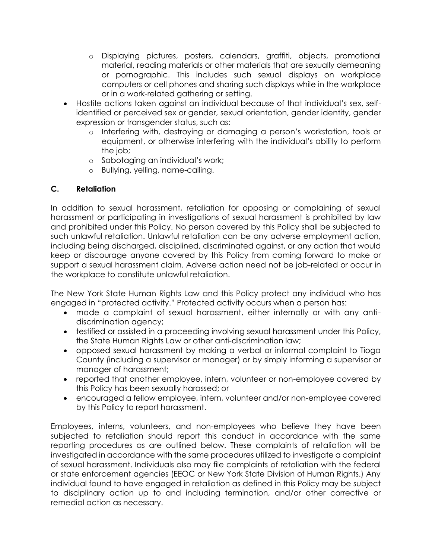- o Displaying pictures, posters, calendars, graffiti, objects, promotional material, reading materials or other materials that are sexually demeaning or pornographic. This includes such sexual displays on workplace computers or cell phones and sharing such displays while in the workplace or in a work-related gathering or setting.
- Hostile actions taken against an individual because of that individual's sex, selfidentified or perceived sex or gender, sexual orientation, gender identity, gender expression or transgender status, such as:
	- o Interfering with, destroying or damaging a person's workstation, tools or equipment, or otherwise interfering with the individual's ability to perform the job;
	- o Sabotaging an individual's work;
	- o Bullying, yelling, name-calling.

## **C. Retaliation**

In addition to sexual harassment, retaliation for opposing or complaining of sexual harassment or participating in investigations of sexual harassment is prohibited by law and prohibited under this Policy. No person covered by this Policy shall be subjected to such unlawful retaliation. Unlawful retaliation can be any adverse employment action, including being discharged, disciplined, discriminated against, or any action that would keep or discourage anyone covered by this Policy from coming forward to make or support a sexual harassment claim. Adverse action need not be job-related or occur in the workplace to constitute unlawful retaliation.

The New York State Human Rights Law and this Policy protect any individual who has engaged in "protected activity." Protected activity occurs when a person has:

- made a complaint of sexual harassment, either internally or with any antidiscrimination agency;
- testified or assisted in a proceeding involving sexual harassment under this Policy, the State Human Rights Law or other anti-discrimination law;
- opposed sexual harassment by making a verbal or informal complaint to Tioga County (including a supervisor or manager) or by simply informing a supervisor or manager of harassment;
- reported that another employee, intern, volunteer or non-employee covered by this Policy has been sexually harassed; or
- encouraged a fellow employee, intern, volunteer and/or non-employee covered by this Policy to report harassment.

Employees, interns, volunteers, and non-employees who believe they have been subjected to retaliation should report this conduct in accordance with the same reporting procedures as are outlined below. These complaints of retaliation will be investigated in accordance with the same procedures utilized to investigate a complaint of sexual harassment. Individuals also may file complaints of retaliation with the federal or state enforcement agencies (EEOC or New York State Division of Human Rights.) Any individual found to have engaged in retaliation as defined in this Policy may be subject to disciplinary action up to and including termination, and/or other corrective or remedial action as necessary.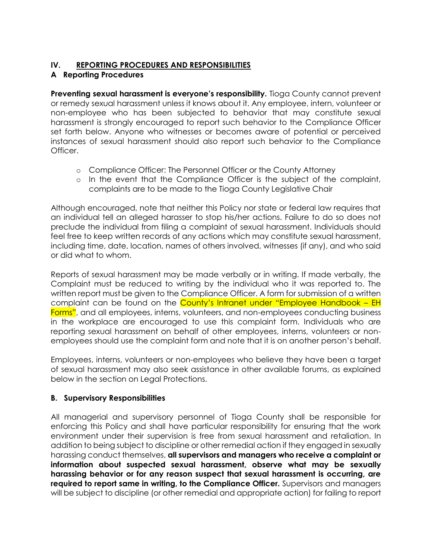# **IV. REPORTING PROCEDURES AND RESPONSIBILITIES**

## **A Reporting Procedures**

**Preventing sexual harassment is everyone's responsibility.** Tioga County cannot prevent or remedy sexual harassment unless it knows about it. Any employee, intern, volunteer or non-employee who has been subjected to behavior that may constitute sexual harassment is strongly encouraged to report such behavior to the Compliance Officer set forth below. Anyone who witnesses or becomes aware of potential or perceived instances of sexual harassment should also report such behavior to the Compliance Officer.

- o Compliance Officer: The Personnel Officer or the County Attorney
- o In the event that the Compliance Officer is the subject of the complaint, complaints are to be made to the Tioga County Legislative Chair

Although encouraged, note that neither this Policy nor state or federal law requires that an individual tell an alleged harasser to stop his/her actions. Failure to do so does not preclude the individual from filing a complaint of sexual harassment. Individuals should feel free to keep written records of any actions which may constitute sexual harassment, including time, date, location, names of others involved, witnesses (if any), and who said or did what to whom.

Reports of sexual harassment may be made verbally or in writing. If made verbally, the Complaint must be reduced to writing by the individual who it was reported to. The written report must be given to the Compliance Officer. A form for submission of a written complaint can be found on the County's Intranet under "Employee Handbook – EH Forms", and all employees, interns, volunteers, and non-employees conducting business in the workplace are encouraged to use this complaint form. Individuals who are reporting sexual harassment on behalf of other employees, interns, volunteers or nonemployees should use the complaint form and note that it is on another person's behalf.

Employees, interns, volunteers or non-employees who believe they have been a target of sexual harassment may also seek assistance in other available forums, as explained below in the section on Legal Protections.

## **B. Supervisory Responsibilities**

All managerial and supervisory personnel of Tioga County shall be responsible for enforcing this Policy and shall have particular responsibility for ensuring that the work environment under their supervision is free from sexual harassment and retaliation. In addition to being subject to discipline or other remedial action if they engaged in sexually harassing conduct themselves, **all supervisors and managers who receive a complaint or information about suspected sexual harassment, observe what may be sexually harassing behavior or for any reason suspect that sexual harassment is occurring, are required to report same in writing, to the Compliance Officer.** Supervisors and managers will be subject to discipline (or other remedial and appropriate action) for failing to report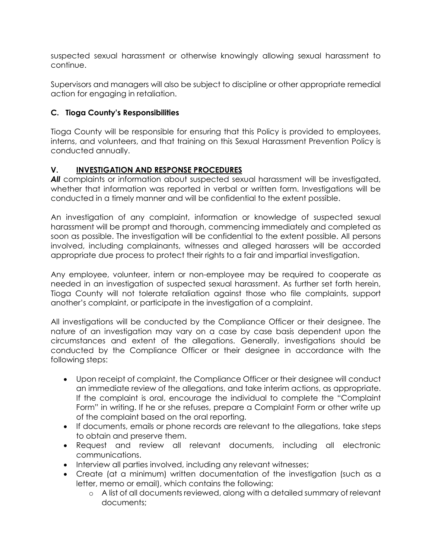suspected sexual harassment or otherwise knowingly allowing sexual harassment to continue.

Supervisors and managers will also be subject to discipline or other appropriate remedial action for engaging in retaliation.

## **C. Tioga County's Responsibilities**

Tioga County will be responsible for ensuring that this Policy is provided to employees, interns, and volunteers, and that training on this Sexual Harassment Prevention Policy is conducted annually.

## **V. INVESTIGATION AND RESPONSE PROCEDURES**

All complaints or information about suspected sexual harassment will be investigated, whether that information was reported in verbal or written form. Investigations will be conducted in a timely manner and will be confidential to the extent possible.

An investigation of any complaint, information or knowledge of suspected sexual harassment will be prompt and thorough, commencing immediately and completed as soon as possible. The investigation will be confidential to the extent possible. All persons involved, including complainants, witnesses and alleged harassers will be accorded appropriate due process to protect their rights to a fair and impartial investigation.

Any employee, volunteer, intern or non-employee may be required to cooperate as needed in an investigation of suspected sexual harassment. As further set forth herein, Tioga County will not tolerate retaliation against those who file complaints, support another's complaint, or participate in the investigation of a complaint.

All investigations will be conducted by the Compliance Officer or their designee. The nature of an investigation may vary on a case by case basis dependent upon the circumstances and extent of the allegations. Generally, investigations should be conducted by the Compliance Officer or their designee in accordance with the following steps:

- Upon receipt of complaint, the Compliance Officer or their designee will conduct an immediate review of the allegations, and take interim actions, as appropriate. If the complaint is oral, encourage the individual to complete the "Complaint Form" in writing. If he or she refuses, prepare a Complaint Form or other write up of the complaint based on the oral reporting.
- If documents, emails or phone records are relevant to the allegations, take steps to obtain and preserve them.
- Request and review all relevant documents, including all electronic communications.
- Interview all parties involved, including any relevant witnesses;
- Create (at a minimum) written documentation of the investigation (such as a letter, memo or email), which contains the following:
	- o A list of all documents reviewed, along with a detailed summary of relevant documents;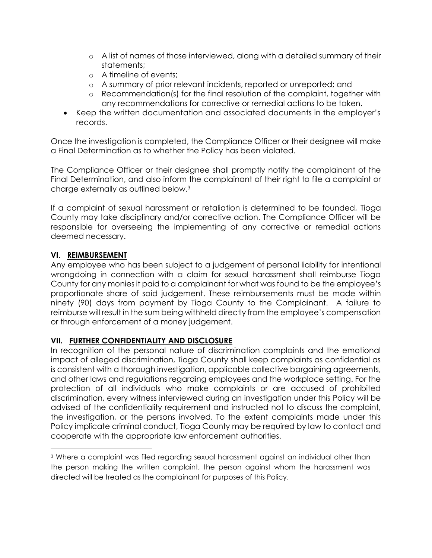- o A list of names of those interviewed, along with a detailed summary of their statements;
- o A timeline of events;
- o A summary of prior relevant incidents, reported or unreported; and
- o Recommendation(s) for the final resolution of the complaint, together with any recommendations for corrective or remedial actions to be taken.
- Keep the written documentation and associated documents in the employer's records.

Once the investigation is completed, the Compliance Officer or their designee will make a Final Determination as to whether the Policy has been violated.

The Compliance Officer or their designee shall promptly notify the complainant of the Final Determination, and also inform the complainant of their right to file a complaint or charge externally as outlined below.<sup>3</sup>

If a complaint of sexual harassment or retaliation is determined to be founded, Tioga County may take disciplinary and/or corrective action. The Compliance Officer will be responsible for overseeing the implementing of any corrective or remedial actions deemed necessary.

## **VI. REIMBURSEMENT**

l

Any employee who has been subject to a judgement of personal liability for intentional wrongdoing in connection with a claim for sexual harassment shall reimburse Tioga County for any monies it paid to a complainant for what was found to be the employee's proportionate share of said judgement. These reimbursements must be made within ninety (90) days from payment by Tioga County to the Complainant. A failure to reimburse will result in the sum being withheld directly from the employee's compensation or through enforcement of a money judgement.

## **VII. FURTHER CONFIDENTIALITY AND DISCLOSURE**

In recognition of the personal nature of discrimination complaints and the emotional impact of alleged discrimination, Tioga County shall keep complaints as confidential as is consistent with a thorough investigation, applicable collective bargaining agreements, and other laws and regulations regarding employees and the workplace setting. For the protection of all individuals who make complaints or are accused of prohibited discrimination, every witness interviewed during an investigation under this Policy will be advised of the confidentiality requirement and instructed not to discuss the complaint, the investigation, or the persons involved. To the extent complaints made under this Policy implicate criminal conduct, Tioga County may be required by law to contact and cooperate with the appropriate law enforcement authorities.

<sup>3</sup> Where a complaint was filed regarding sexual harassment against an individual other than the person making the written complaint, the person against whom the harassment was directed will be treated as the complainant for purposes of this Policy.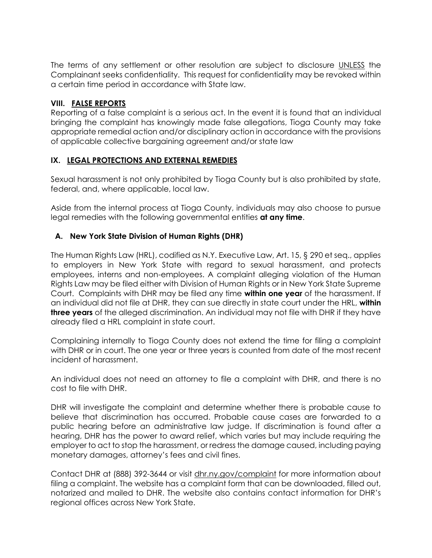The terms of any settlement or other resolution are subject to disclosure UNLESS the Complainant seeks confidentiality. This request for confidentiality may be revoked within a certain time period in accordance with State law.

#### **VIII. FALSE REPORTS**

Reporting of a false complaint is a serious act. In the event it is found that an individual bringing the complaint has knowingly made false allegations, Tioga County may take appropriate remedial action and/or disciplinary action in accordance with the provisions of applicable collective bargaining agreement and/or state law

## **IX. LEGAL PROTECTIONS AND EXTERNAL REMEDIES**

Sexual harassment is not only prohibited by Tioga County but is also prohibited by state, federal, and, where applicable, local law.

Aside from the internal process at Tioga County, individuals may also choose to pursue legal remedies with the following governmental entities **at any time**.

## **A. New York State Division of Human Rights (DHR)**

The Human Rights Law (HRL), codified as N.Y. Executive Law, Art. 15, § 290 et seq., applies to employers in New York State with regard to sexual harassment, and protects employees, interns and non-employees. A complaint alleging violation of the Human Rights Law may be filed either with Division of Human Rights or in New York State Supreme Court. Complaints with DHR may be filed any time **within one year** of the harassment. If an individual did not file at DHR, they can sue directly in state court under the HRL, **within three years** of the alleged discrimination. An individual may not file with DHR if they have already filed a HRL complaint in state court.

Complaining internally to Tioga County does not extend the time for filing a complaint with DHR or in court. The one year or three years is counted from date of the most recent incident of harassment.

An individual does not need an attorney to file a complaint with DHR, and there is no cost to file with DHR.

DHR will investigate the complaint and determine whether there is probable cause to believe that discrimination has occurred. Probable cause cases are forwarded to a public hearing before an administrative law judge. If discrimination is found after a hearing, DHR has the power to award relief, which varies but may include requiring the employer to act to stop the harassment, or redress the damage caused, including paying monetary damages, attorney's fees and civil fines.

Contact DHR at (888) 392-3644 or visit dhr.ny.gov/complaint for more information about filing a complaint. The website has a complaint form that can be downloaded, filled out, notarized and mailed to DHR. The website also contains contact information for DHR's regional offices across New York State.